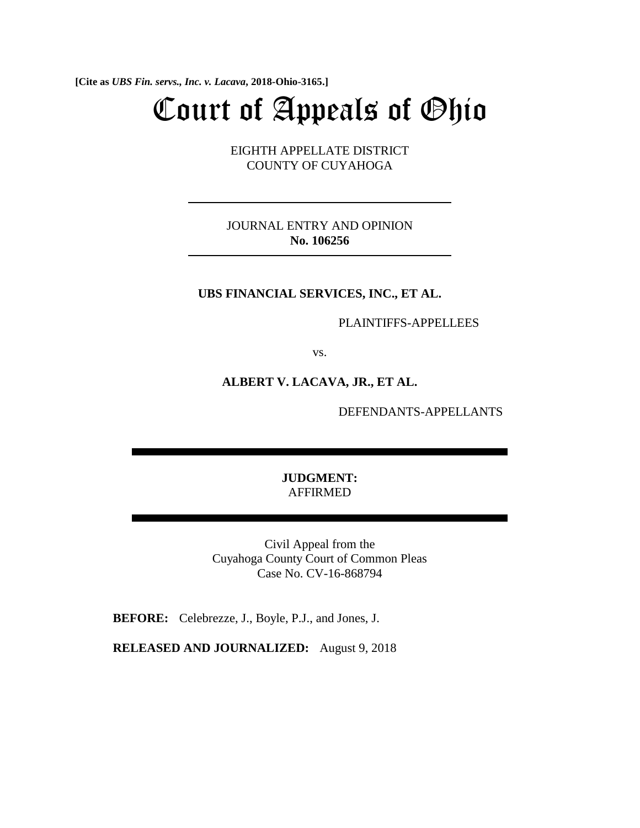**[Cite as** *UBS Fin. servs., Inc. v. Lacava***, 2018-Ohio-3165.]**

# Court of Appeals of Ohio

EIGHTH APPELLATE DISTRICT COUNTY OF CUYAHOGA

JOURNAL ENTRY AND OPINION **No. 106256** 

## **UBS FINANCIAL SERVICES, INC., ET AL.**

PLAINTIFFS-APPELLEES

vs.

## **ALBERT V. LACAVA, JR., ET AL.**

DEFENDANTS-APPELLANTS

**JUDGMENT:**  AFFIRMED

Civil Appeal from the Cuyahoga County Court of Common Pleas Case No. CV-16-868794

**BEFORE:** Celebrezze, J., Boyle, P.J., and Jones, J.

**RELEASED AND JOURNALIZED:** August 9, 2018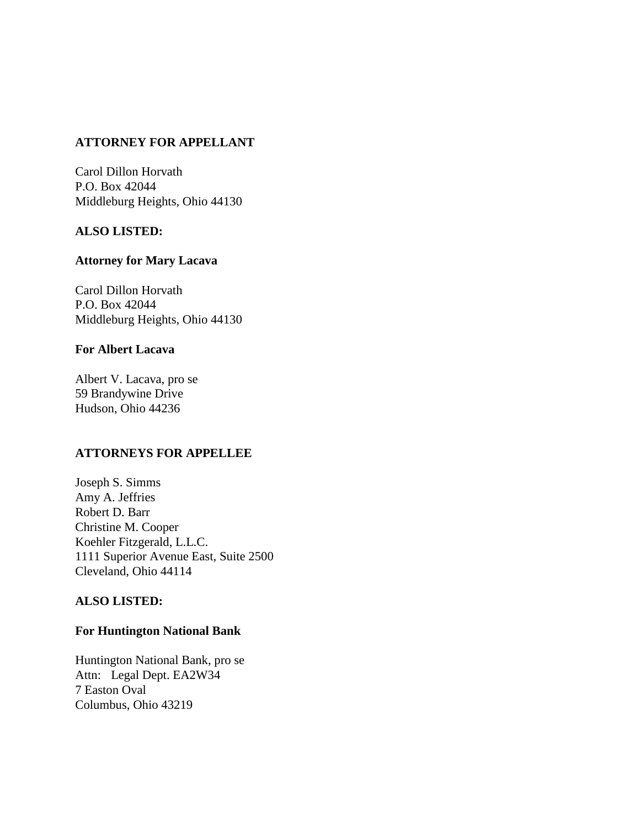# **ATTORNEY FOR APPELLANT**

Carol Dillon Horvath P.O. Box 42044 Middleburg Heights, Ohio 44130

# **ALSO LISTED:**

# **Attorney for Mary Lacava**

Carol Dillon Horvath P.O. Box 42044 Middleburg Heights, Ohio 44130

## **For Albert Lacava**

Albert V. Lacava, pro se 59 Brandywine Drive Hudson, Ohio 44236

## **ATTORNEYS FOR APPELLEE**

Joseph S. Simms Amy A. Jeffries Robert D. Barr Christine M. Cooper Koehler Fitzgerald, L.L.C. 1111 Superior Avenue East, Suite 2500 Cleveland, Ohio 44114

## **ALSO LISTED:**

## **For Huntington National Bank**

Huntington National Bank, pro se Attn: Legal Dept. EA2W34 7 Easton Oval Columbus, Ohio 43219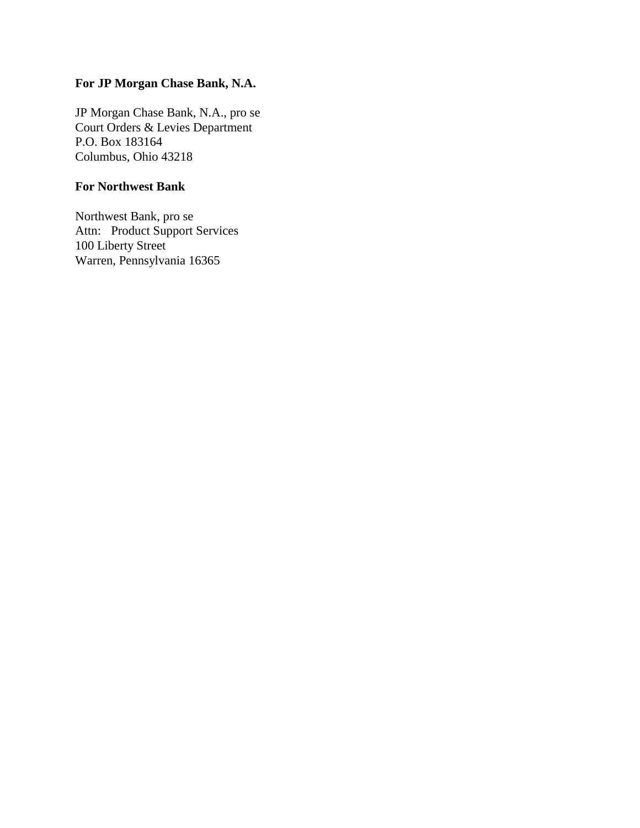# **For JP Morgan Chase Bank, N.A.**

JP Morgan Chase Bank, N.A., pro se Court Orders & Levies Department P.O. Box 183164 Columbus, Ohio 43218

# **For Northwest Bank**

Northwest Bank, pro se Attn: Product Support Services 100 Liberty Street Warren, Pennsylvania 16365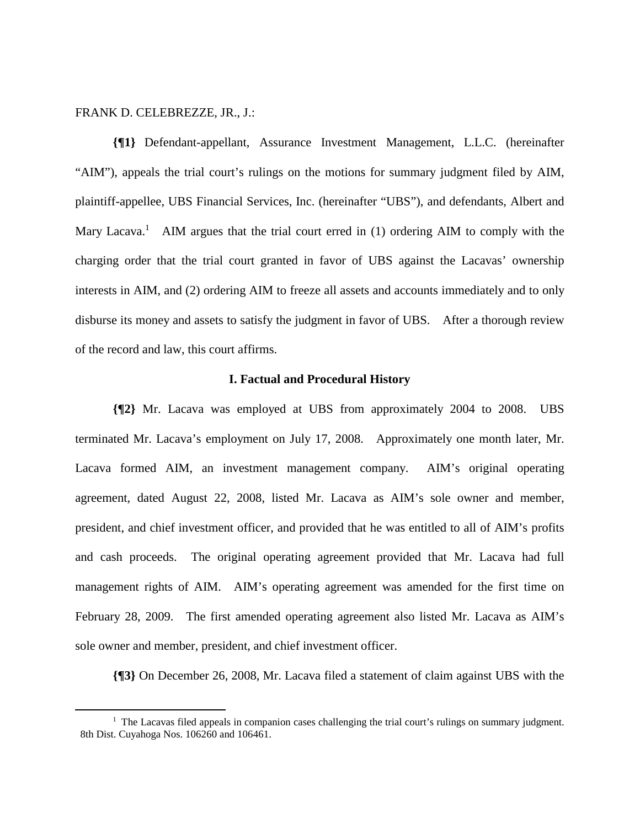## FRANK D. CELEBREZZE, JR., J.:

 $\overline{a}$ 

**{¶1}** Defendant-appellant, Assurance Investment Management, L.L.C. (hereinafter "AIM"), appeals the trial court's rulings on the motions for summary judgment filed by AIM, plaintiff-appellee, UBS Financial Services, Inc. (hereinafter "UBS"), and defendants, Albert and Mary Lacava.<sup>1</sup> AIM argues that the trial court erred in (1) ordering AIM to comply with the charging order that the trial court granted in favor of UBS against the Lacavas' ownership interests in AIM, and (2) ordering AIM to freeze all assets and accounts immediately and to only disburse its money and assets to satisfy the judgment in favor of UBS. After a thorough review of the record and law, this court affirms.

#### **I. Factual and Procedural History**

**{¶2}** Mr. Lacava was employed at UBS from approximately 2004 to 2008. UBS terminated Mr. Lacava's employment on July 17, 2008. Approximately one month later, Mr. Lacava formed AIM, an investment management company. AIM's original operating agreement, dated August 22, 2008, listed Mr. Lacava as AIM's sole owner and member, president, and chief investment officer, and provided that he was entitled to all of AIM's profits and cash proceeds. The original operating agreement provided that Mr. Lacava had full management rights of AIM. AIM's operating agreement was amended for the first time on February 28, 2009. The first amended operating agreement also listed Mr. Lacava as AIM's sole owner and member, president, and chief investment officer.

**{¶3}** On December 26, 2008, Mr. Lacava filed a statement of claim against UBS with the

<sup>&</sup>lt;sup>1</sup> The Lacavas filed appeals in companion cases challenging the trial court's rulings on summary judgment. 8th Dist. Cuyahoga Nos. 106260 and 106461.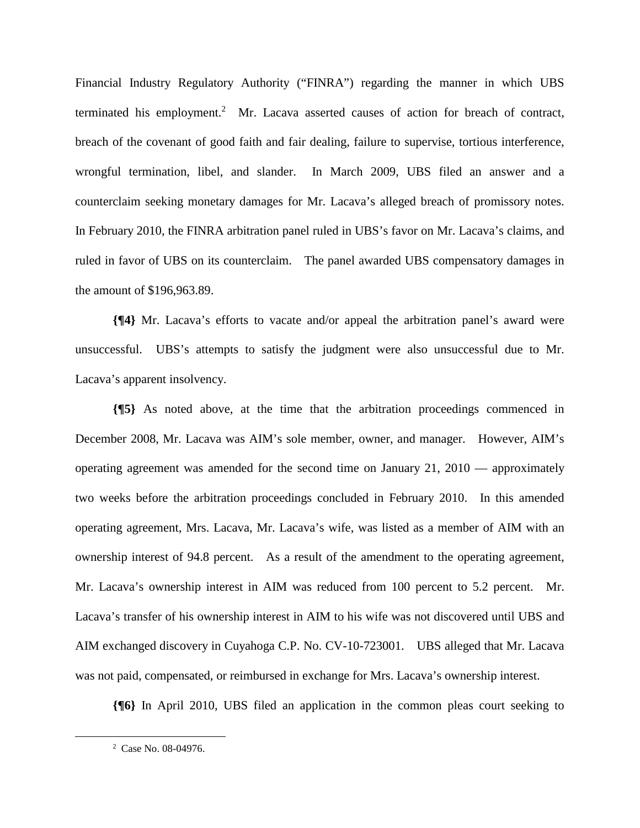Financial Industry Regulatory Authority ("FINRA") regarding the manner in which UBS terminated his employment.<sup>2</sup> Mr. Lacava asserted causes of action for breach of contract, breach of the covenant of good faith and fair dealing, failure to supervise, tortious interference, wrongful termination, libel, and slander. In March 2009, UBS filed an answer and a counterclaim seeking monetary damages for Mr. Lacava's alleged breach of promissory notes. In February 2010, the FINRA arbitration panel ruled in UBS's favor on Mr. Lacava's claims, and ruled in favor of UBS on its counterclaim. The panel awarded UBS compensatory damages in the amount of \$196,963.89.

**{¶4}** Mr. Lacava's efforts to vacate and/or appeal the arbitration panel's award were unsuccessful. UBS's attempts to satisfy the judgment were also unsuccessful due to Mr. Lacava's apparent insolvency.

**{¶5}** As noted above, at the time that the arbitration proceedings commenced in December 2008, Mr. Lacava was AIM's sole member, owner, and manager. However, AIM's operating agreement was amended for the second time on January 21, 2010 — approximately two weeks before the arbitration proceedings concluded in February 2010. In this amended operating agreement, Mrs. Lacava, Mr. Lacava's wife, was listed as a member of AIM with an ownership interest of 94.8 percent. As a result of the amendment to the operating agreement, Mr. Lacava's ownership interest in AIM was reduced from 100 percent to 5.2 percent. Mr. Lacava's transfer of his ownership interest in AIM to his wife was not discovered until UBS and AIM exchanged discovery in Cuyahoga C.P. No. CV-10-723001. UBS alleged that Mr. Lacava was not paid, compensated, or reimbursed in exchange for Mrs. Lacava's ownership interest.

**{¶6}** In April 2010, UBS filed an application in the common pleas court seeking to

 $\overline{a}$ 

<sup>2</sup> Case No. 08-04976.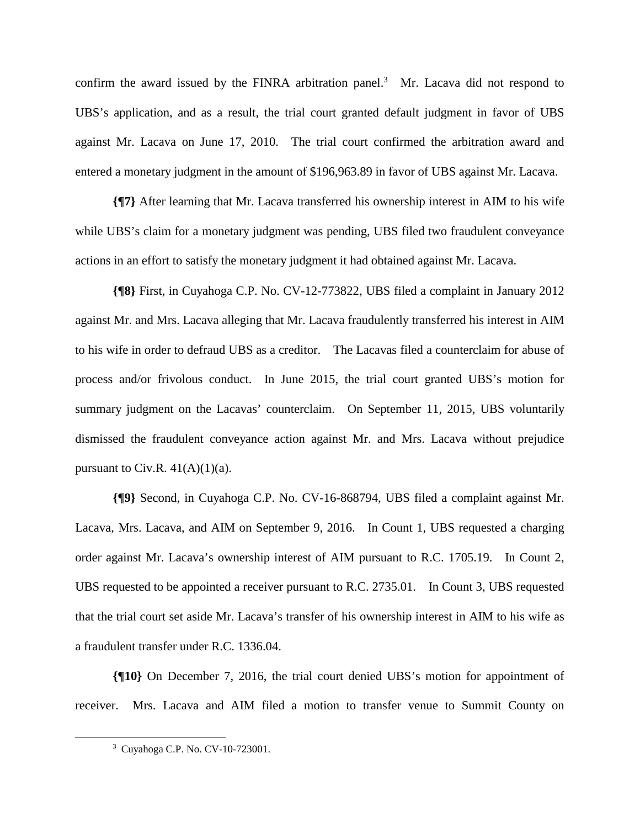confirm the award issued by the FINRA arbitration panel.<sup>3</sup> Mr. Lacava did not respond to UBS's application, and as a result, the trial court granted default judgment in favor of UBS against Mr. Lacava on June 17, 2010. The trial court confirmed the arbitration award and entered a monetary judgment in the amount of \$196,963.89 in favor of UBS against Mr. Lacava.

**{¶7}** After learning that Mr. Lacava transferred his ownership interest in AIM to his wife while UBS's claim for a monetary judgment was pending, UBS filed two fraudulent conveyance actions in an effort to satisfy the monetary judgment it had obtained against Mr. Lacava.

**{¶8}** First, in Cuyahoga C.P. No. CV-12-773822, UBS filed a complaint in January 2012 against Mr. and Mrs. Lacava alleging that Mr. Lacava fraudulently transferred his interest in AIM to his wife in order to defraud UBS as a creditor. The Lacavas filed a counterclaim for abuse of process and/or frivolous conduct. In June 2015, the trial court granted UBS's motion for summary judgment on the Lacavas' counterclaim. On September 11, 2015, UBS voluntarily dismissed the fraudulent conveyance action against Mr. and Mrs. Lacava without prejudice pursuant to Civ.R.  $41(A)(1)(a)$ .

**{¶9}** Second, in Cuyahoga C.P. No. CV-16-868794, UBS filed a complaint against Mr. Lacava, Mrs. Lacava, and AIM on September 9, 2016. In Count 1, UBS requested a charging order against Mr. Lacava's ownership interest of AIM pursuant to R.C. 1705.19. In Count 2, UBS requested to be appointed a receiver pursuant to R.C. 2735.01. In Count 3, UBS requested that the trial court set aside Mr. Lacava's transfer of his ownership interest in AIM to his wife as a fraudulent transfer under R.C. 1336.04.

**{¶10}** On December 7, 2016, the trial court denied UBS's motion for appointment of receiver. Mrs. Lacava and AIM filed a motion to transfer venue to Summit County on

 $\overline{a}$ 

<sup>3</sup> Cuyahoga C.P. No. CV-10-723001.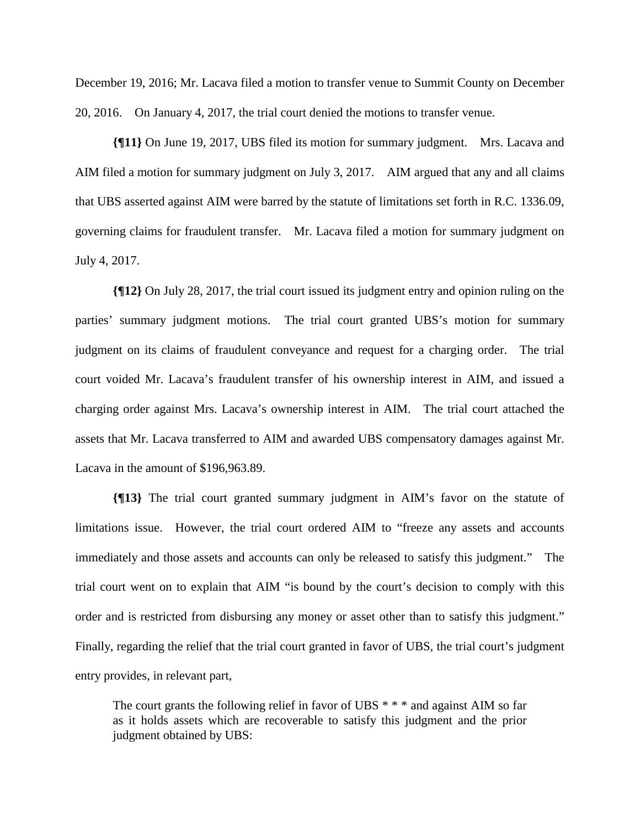December 19, 2016; Mr. Lacava filed a motion to transfer venue to Summit County on December 20, 2016. On January 4, 2017, the trial court denied the motions to transfer venue.

**{¶11}** On June 19, 2017, UBS filed its motion for summary judgment. Mrs. Lacava and AIM filed a motion for summary judgment on July 3, 2017. AIM argued that any and all claims that UBS asserted against AIM were barred by the statute of limitations set forth in R.C. 1336.09, governing claims for fraudulent transfer. Mr. Lacava filed a motion for summary judgment on July 4, 2017.

**{¶12}** On July 28, 2017, the trial court issued its judgment entry and opinion ruling on the parties' summary judgment motions. The trial court granted UBS's motion for summary judgment on its claims of fraudulent conveyance and request for a charging order. The trial court voided Mr. Lacava's fraudulent transfer of his ownership interest in AIM, and issued a charging order against Mrs. Lacava's ownership interest in AIM. The trial court attached the assets that Mr. Lacava transferred to AIM and awarded UBS compensatory damages against Mr. Lacava in the amount of \$196,963.89.

**{¶13}** The trial court granted summary judgment in AIM's favor on the statute of limitations issue. However, the trial court ordered AIM to "freeze any assets and accounts immediately and those assets and accounts can only be released to satisfy this judgment." The trial court went on to explain that AIM "is bound by the court's decision to comply with this order and is restricted from disbursing any money or asset other than to satisfy this judgment." Finally, regarding the relief that the trial court granted in favor of UBS, the trial court's judgment entry provides, in relevant part,

The court grants the following relief in favor of UBS  $***$  and against AIM so far as it holds assets which are recoverable to satisfy this judgment and the prior judgment obtained by UBS: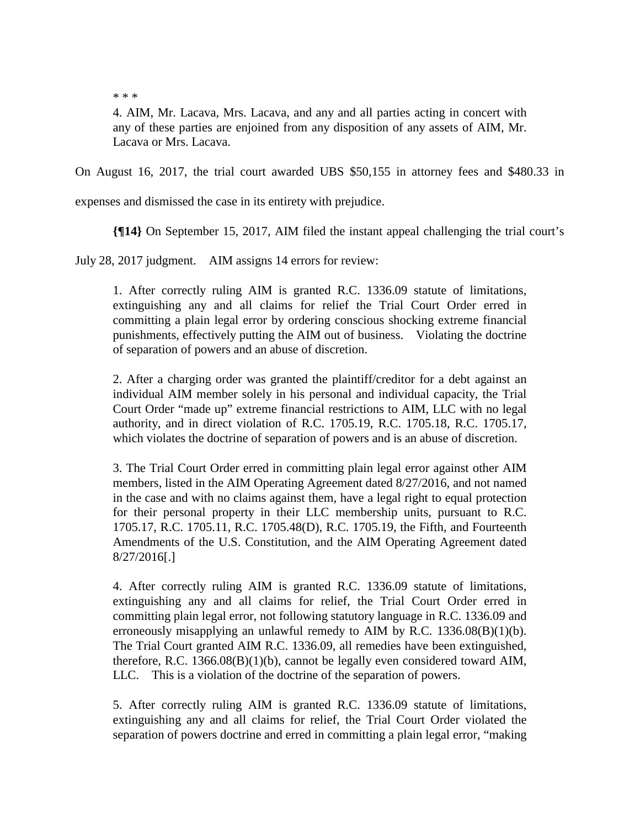\* \* \*

4. AIM, Mr. Lacava, Mrs. Lacava, and any and all parties acting in concert with any of these parties are enjoined from any disposition of any assets of AIM, Mr. Lacava or Mrs. Lacava.

On August 16, 2017, the trial court awarded UBS \$50,155 in attorney fees and \$480.33 in

expenses and dismissed the case in its entirety with prejudice.

**{¶14}** On September 15, 2017, AIM filed the instant appeal challenging the trial court's

July 28, 2017 judgment. AIM assigns 14 errors for review:

1. After correctly ruling AIM is granted R.C. 1336.09 statute of limitations, extinguishing any and all claims for relief the Trial Court Order erred in committing a plain legal error by ordering conscious shocking extreme financial punishments, effectively putting the AIM out of business. Violating the doctrine of separation of powers and an abuse of discretion.

2. After a charging order was granted the plaintiff/creditor for a debt against an individual AIM member solely in his personal and individual capacity, the Trial Court Order "made up" extreme financial restrictions to AIM, LLC with no legal authority, and in direct violation of R.C. 1705.19, R.C. 1705.18, R.C. 1705.17, which violates the doctrine of separation of powers and is an abuse of discretion.

3. The Trial Court Order erred in committing plain legal error against other AIM members, listed in the AIM Operating Agreement dated 8/27/2016, and not named in the case and with no claims against them, have a legal right to equal protection for their personal property in their LLC membership units, pursuant to R.C. 1705.17, R.C. 1705.11, R.C. 1705.48(D), R.C. 1705.19, the Fifth, and Fourteenth Amendments of the U.S. Constitution, and the AIM Operating Agreement dated 8/27/2016[.]

4. After correctly ruling AIM is granted R.C. 1336.09 statute of limitations, extinguishing any and all claims for relief, the Trial Court Order erred in committing plain legal error, not following statutory language in R.C. 1336.09 and erroneously misapplying an unlawful remedy to AIM by R.C. 1336.08(B)(1)(b). The Trial Court granted AIM R.C. 1336.09, all remedies have been extinguished, therefore, R.C. 1366.08(B)(1)(b), cannot be legally even considered toward AIM, LLC. This is a violation of the doctrine of the separation of powers.

5. After correctly ruling AIM is granted R.C. 1336.09 statute of limitations, extinguishing any and all claims for relief, the Trial Court Order violated the separation of powers doctrine and erred in committing a plain legal error, "making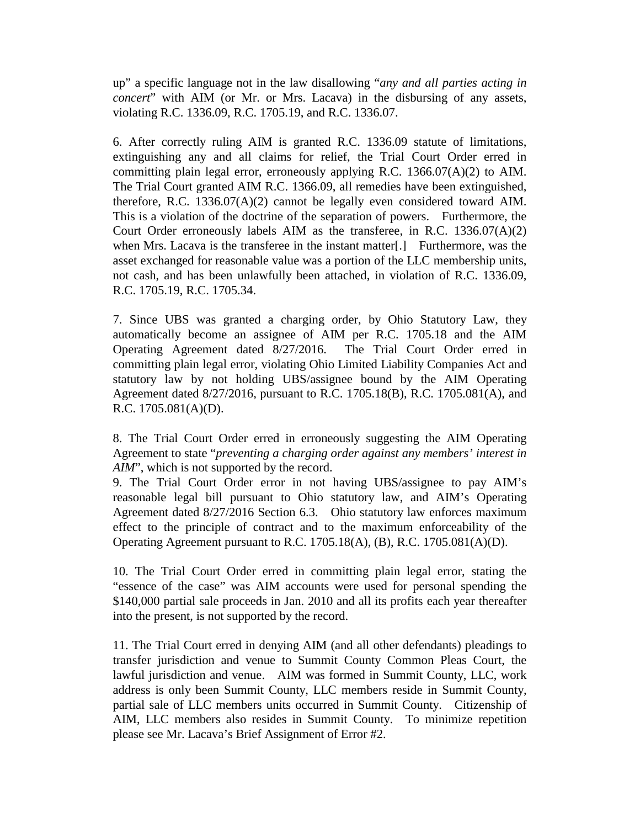up" a specific language not in the law disallowing "*any and all parties acting in concert*" with AIM (or Mr. or Mrs. Lacava) in the disbursing of any assets, violating R.C. 1336.09, R.C. 1705.19, and R.C. 1336.07.

6. After correctly ruling AIM is granted R.C. 1336.09 statute of limitations, extinguishing any and all claims for relief, the Trial Court Order erred in committing plain legal error, erroneously applying R.C. 1366.07(A)(2) to AIM. The Trial Court granted AIM R.C. 1366.09, all remedies have been extinguished, therefore, R.C. 1336.07(A)(2) cannot be legally even considered toward AIM. This is a violation of the doctrine of the separation of powers. Furthermore, the Court Order erroneously labels AIM as the transferee, in R.C. 1336.07(A)(2) when Mrs. Lacava is the transferee in the instant matter[.] Furthermore, was the asset exchanged for reasonable value was a portion of the LLC membership units, not cash, and has been unlawfully been attached, in violation of R.C. 1336.09, R.C. 1705.19, R.C. 1705.34.

7. Since UBS was granted a charging order, by Ohio Statutory Law, they automatically become an assignee of AIM per R.C. 1705.18 and the AIM Operating Agreement dated 8/27/2016. The Trial Court Order erred in committing plain legal error, violating Ohio Limited Liability Companies Act and statutory law by not holding UBS/assignee bound by the AIM Operating Agreement dated 8/27/2016, pursuant to R.C. 1705.18(B), R.C. 1705.081(A), and R.C. 1705.081(A)(D).

8. The Trial Court Order erred in erroneously suggesting the AIM Operating Agreement to state "*preventing a charging order against any members' interest in AIM*", which is not supported by the record.

9. The Trial Court Order error in not having UBS/assignee to pay AIM's reasonable legal bill pursuant to Ohio statutory law, and AIM's Operating Agreement dated 8/27/2016 Section 6.3. Ohio statutory law enforces maximum effect to the principle of contract and to the maximum enforceability of the Operating Agreement pursuant to R.C. 1705.18(A), (B), R.C. 1705.081(A)(D).

10. The Trial Court Order erred in committing plain legal error, stating the "essence of the case" was AIM accounts were used for personal spending the \$140,000 partial sale proceeds in Jan. 2010 and all its profits each year thereafter into the present, is not supported by the record.

11. The Trial Court erred in denying AIM (and all other defendants) pleadings to transfer jurisdiction and venue to Summit County Common Pleas Court, the lawful jurisdiction and venue. AIM was formed in Summit County, LLC, work address is only been Summit County, LLC members reside in Summit County, partial sale of LLC members units occurred in Summit County. Citizenship of AIM, LLC members also resides in Summit County. To minimize repetition please see Mr. Lacava's Brief Assignment of Error #2.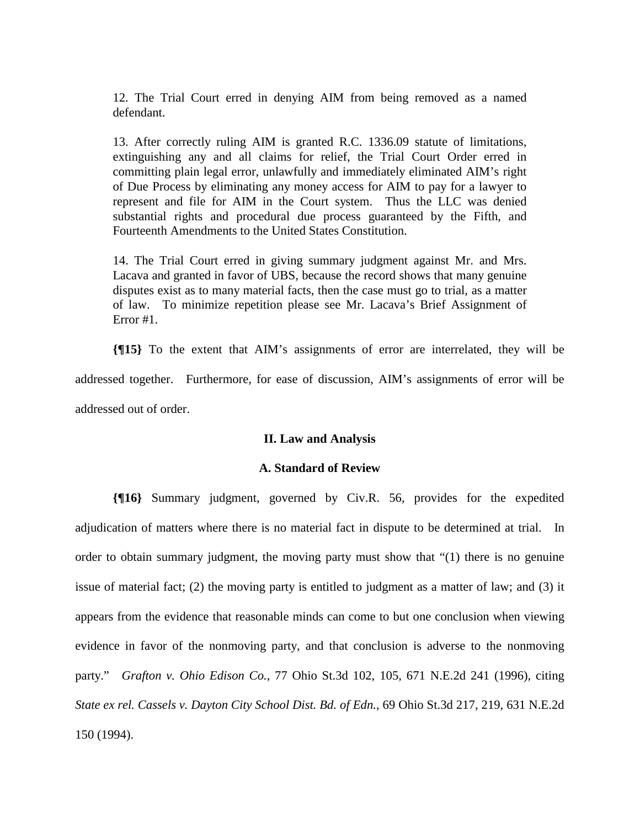12. The Trial Court erred in denying AIM from being removed as a named defendant.

13. After correctly ruling AIM is granted R.C. 1336.09 statute of limitations, extinguishing any and all claims for relief, the Trial Court Order erred in committing plain legal error, unlawfully and immediately eliminated AIM's right of Due Process by eliminating any money access for AIM to pay for a lawyer to represent and file for AIM in the Court system. Thus the LLC was denied substantial rights and procedural due process guaranteed by the Fifth, and Fourteenth Amendments to the United States Constitution.

14. The Trial Court erred in giving summary judgment against Mr. and Mrs. Lacava and granted in favor of UBS, because the record shows that many genuine disputes exist as to many material facts, then the case must go to trial, as a matter of law. To minimize repetition please see Mr. Lacava's Brief Assignment of Error #1.

**{¶15}** To the extent that AIM's assignments of error are interrelated, they will be addressed together. Furthermore, for ease of discussion, AIM's assignments of error will be addressed out of order.

## **II. Law and Analysis**

## **A. Standard of Review**

**{¶16}** Summary judgment, governed by Civ.R. 56, provides for the expedited adjudication of matters where there is no material fact in dispute to be determined at trial. In order to obtain summary judgment, the moving party must show that "(1) there is no genuine issue of material fact; (2) the moving party is entitled to judgment as a matter of law; and (3) it appears from the evidence that reasonable minds can come to but one conclusion when viewing evidence in favor of the nonmoving party, and that conclusion is adverse to the nonmoving party." *Grafton v. Ohio Edison Co.*, 77 Ohio St.3d 102, 105, 671 N.E.2d 241 (1996), citing *State ex rel. Cassels v. Dayton City School Dist. Bd. of Edn.*, 69 Ohio St.3d 217, 219, 631 N.E.2d 150 (1994).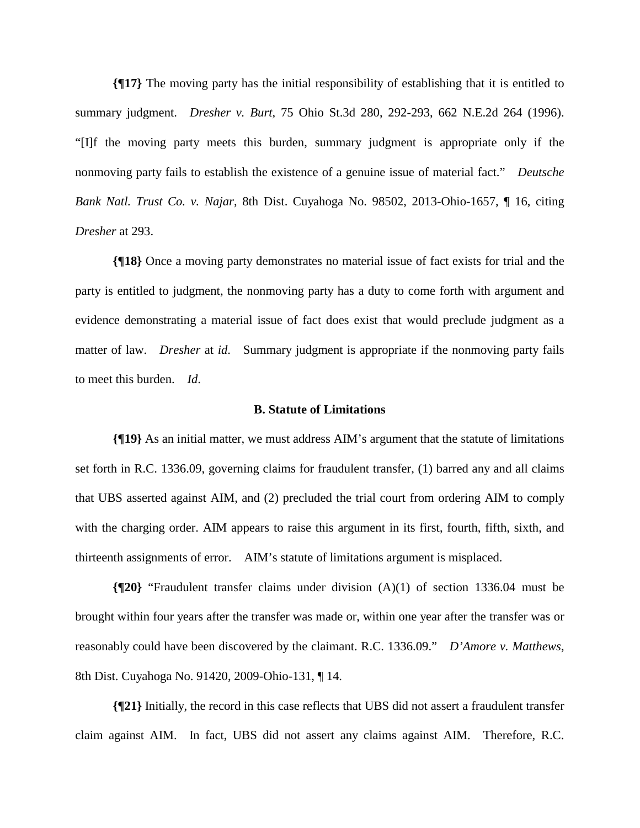**{¶17}** The moving party has the initial responsibility of establishing that it is entitled to summary judgment. *Dresher v. Burt*, 75 Ohio St.3d 280, 292-293, 662 N.E.2d 264 (1996). "[I]f the moving party meets this burden, summary judgment is appropriate only if the nonmoving party fails to establish the existence of a genuine issue of material fact." *Deutsche Bank Natl. Trust Co. v. Najar*, 8th Dist. Cuyahoga No. 98502, 2013-Ohio-1657, ¶ 16, citing *Dresher* at 293.

**{¶18}** Once a moving party demonstrates no material issue of fact exists for trial and the party is entitled to judgment, the nonmoving party has a duty to come forth with argument and evidence demonstrating a material issue of fact does exist that would preclude judgment as a matter of law. *Dresher* at *id*. Summary judgment is appropriate if the nonmoving party fails to meet this burden. *Id*.

#### **B. Statute of Limitations**

**{¶19}** As an initial matter, we must address AIM's argument that the statute of limitations set forth in R.C. 1336.09, governing claims for fraudulent transfer, (1) barred any and all claims that UBS asserted against AIM, and (2) precluded the trial court from ordering AIM to comply with the charging order. AIM appears to raise this argument in its first, fourth, fifth, sixth, and thirteenth assignments of error. AIM's statute of limitations argument is misplaced.

**{¶20}** "Fraudulent transfer claims under division (A)(1) of section 1336.04 must be brought within four years after the transfer was made or, within one year after the transfer was or reasonably could have been discovered by the claimant. R.C. 1336.09." *D'Amore v. Matthews*, 8th Dist. Cuyahoga No. 91420, 2009-Ohio-131, ¶ 14.

**{¶21}** Initially, the record in this case reflects that UBS did not assert a fraudulent transfer claim against AIM. In fact, UBS did not assert any claims against AIM. Therefore, R.C.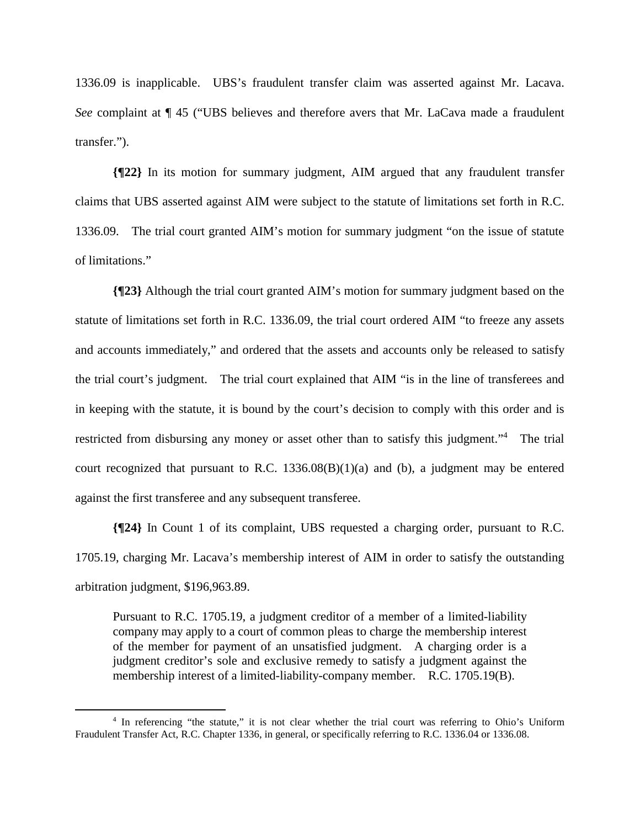1336.09 is inapplicable. UBS's fraudulent transfer claim was asserted against Mr. Lacava. *See* complaint at ¶ 45 ("UBS believes and therefore avers that Mr. LaCava made a fraudulent transfer.").

**{¶22}** In its motion for summary judgment, AIM argued that any fraudulent transfer claims that UBS asserted against AIM were subject to the statute of limitations set forth in R.C. 1336.09. The trial court granted AIM's motion for summary judgment "on the issue of statute of limitations."

**{¶23}** Although the trial court granted AIM's motion for summary judgment based on the statute of limitations set forth in R.C. 1336.09, the trial court ordered AIM "to freeze any assets and accounts immediately," and ordered that the assets and accounts only be released to satisfy the trial court's judgment. The trial court explained that AIM "is in the line of transferees and in keeping with the statute, it is bound by the court's decision to comply with this order and is restricted from disbursing any money or asset other than to satisfy this judgment."<sup>4</sup> The trial court recognized that pursuant to R.C.  $1336.08(B)(1)(a)$  and (b), a judgment may be entered against the first transferee and any subsequent transferee.

**{¶24}** In Count 1 of its complaint, UBS requested a charging order, pursuant to R.C. 1705.19, charging Mr. Lacava's membership interest of AIM in order to satisfy the outstanding arbitration judgment, \$196,963.89.

Pursuant to R.C. 1705.19, a judgment creditor of a member of a limited-liability company may apply to a court of common pleas to charge the membership interest of the member for payment of an unsatisfied judgment. A charging order is a judgment creditor's sole and exclusive remedy to satisfy a judgment against the membership interest of a limited-liability-company member. R.C. 1705.19(B).

l

<sup>4</sup> In referencing "the statute," it is not clear whether the trial court was referring to Ohio's Uniform Fraudulent Transfer Act, R.C. Chapter 1336, in general, or specifically referring to R.C. 1336.04 or 1336.08.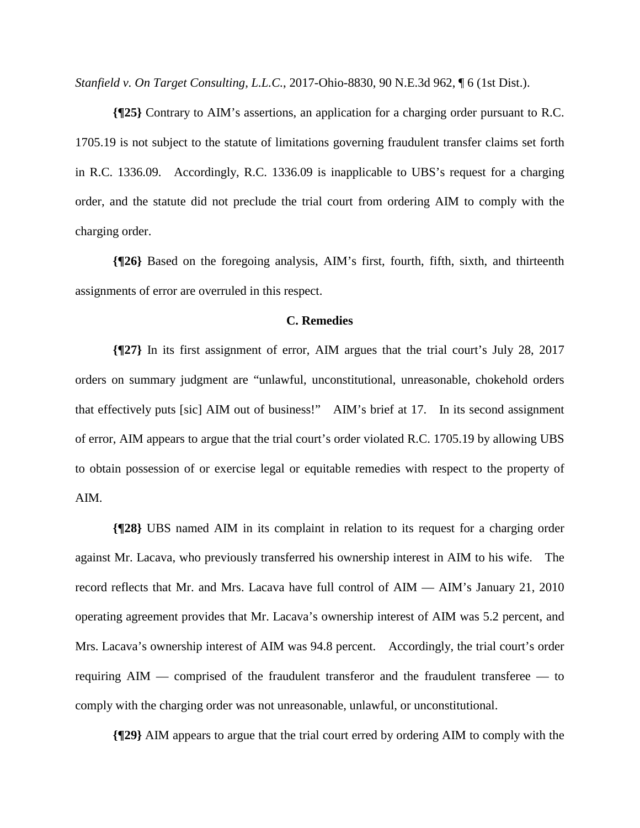*Stanfield v. On Target Consulting, L.L.C.*, 2017-Ohio-8830, 90 N.E.3d 962, ¶ 6 (1st Dist.).

**{¶25}** Contrary to AIM's assertions, an application for a charging order pursuant to R.C. 1705.19 is not subject to the statute of limitations governing fraudulent transfer claims set forth in R.C. 1336.09. Accordingly, R.C. 1336.09 is inapplicable to UBS's request for a charging order, and the statute did not preclude the trial court from ordering AIM to comply with the charging order.

**{¶26}** Based on the foregoing analysis, AIM's first, fourth, fifth, sixth, and thirteenth assignments of error are overruled in this respect.

#### **C. Remedies**

**{¶27}** In its first assignment of error, AIM argues that the trial court's July 28, 2017 orders on summary judgment are "unlawful, unconstitutional, unreasonable, chokehold orders that effectively puts [sic] AIM out of business!" AIM's brief at 17. In its second assignment of error, AIM appears to argue that the trial court's order violated R.C. 1705.19 by allowing UBS to obtain possession of or exercise legal or equitable remedies with respect to the property of AIM.

**{¶28}** UBS named AIM in its complaint in relation to its request for a charging order against Mr. Lacava, who previously transferred his ownership interest in AIM to his wife. The record reflects that Mr. and Mrs. Lacava have full control of AIM — AIM's January 21, 2010 operating agreement provides that Mr. Lacava's ownership interest of AIM was 5.2 percent, and Mrs. Lacava's ownership interest of AIM was 94.8 percent. Accordingly, the trial court's order requiring AIM — comprised of the fraudulent transferor and the fraudulent transferee — to comply with the charging order was not unreasonable, unlawful, or unconstitutional.

**{¶29}** AIM appears to argue that the trial court erred by ordering AIM to comply with the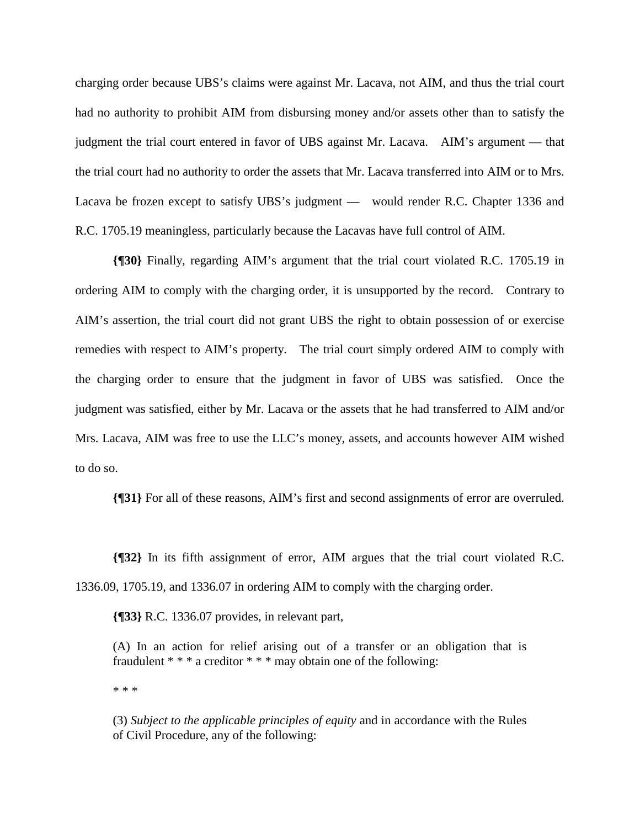charging order because UBS's claims were against Mr. Lacava, not AIM, and thus the trial court had no authority to prohibit AIM from disbursing money and/or assets other than to satisfy the judgment the trial court entered in favor of UBS against Mr. Lacava. AIM's argument — that the trial court had no authority to order the assets that Mr. Lacava transferred into AIM or to Mrs. Lacava be frozen except to satisfy UBS's judgment — would render R.C. Chapter 1336 and R.C. 1705.19 meaningless, particularly because the Lacavas have full control of AIM.

**{¶30}** Finally, regarding AIM's argument that the trial court violated R.C. 1705.19 in ordering AIM to comply with the charging order, it is unsupported by the record. Contrary to AIM's assertion, the trial court did not grant UBS the right to obtain possession of or exercise remedies with respect to AIM's property. The trial court simply ordered AIM to comply with the charging order to ensure that the judgment in favor of UBS was satisfied. Once the judgment was satisfied, either by Mr. Lacava or the assets that he had transferred to AIM and/or Mrs. Lacava, AIM was free to use the LLC's money, assets, and accounts however AIM wished to do so.

**{¶31}** For all of these reasons, AIM's first and second assignments of error are overruled.

**{¶32}** In its fifth assignment of error, AIM argues that the trial court violated R.C. 1336.09, 1705.19, and 1336.07 in ordering AIM to comply with the charging order.

**{¶33}** R.C. 1336.07 provides, in relevant part,

(A) In an action for relief arising out of a transfer or an obligation that is fraudulent \* \* \* a creditor \* \* \* may obtain one of the following:

\* \* \*

(3) *Subject to the applicable principles of equity* and in accordance with the Rules of Civil Procedure, any of the following: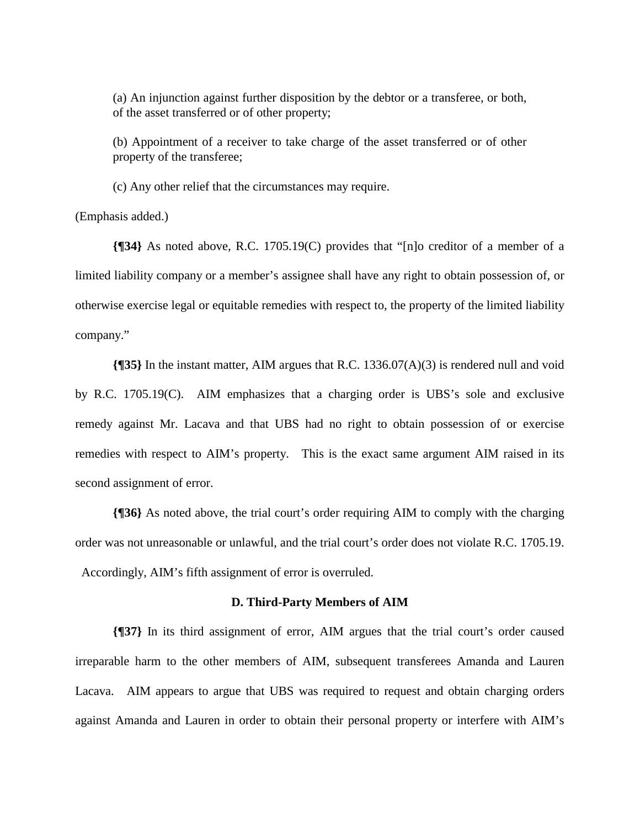(a) An injunction against further disposition by the debtor or a transferee, or both, of the asset transferred or of other property;

(b) Appointment of a receiver to take charge of the asset transferred or of other property of the transferee;

(c) Any other relief that the circumstances may require.

(Emphasis added.)

**{¶34}** As noted above, R.C. 1705.19(C) provides that "[n]o creditor of a member of a limited liability company or a member's assignee shall have any right to obtain possession of, or otherwise exercise legal or equitable remedies with respect to, the property of the limited liability company."

**{¶35}** In the instant matter, AIM argues that R.C. 1336.07(A)(3) is rendered null and void by R.C. 1705.19(C). AIM emphasizes that a charging order is UBS's sole and exclusive remedy against Mr. Lacava and that UBS had no right to obtain possession of or exercise remedies with respect to AIM's property. This is the exact same argument AIM raised in its second assignment of error.

**{¶36}** As noted above, the trial court's order requiring AIM to comply with the charging order was not unreasonable or unlawful, and the trial court's order does not violate R.C. 1705.19. Accordingly, AIM's fifth assignment of error is overruled.

#### **D. Third-Party Members of AIM**

**{¶37}** In its third assignment of error, AIM argues that the trial court's order caused irreparable harm to the other members of AIM, subsequent transferees Amanda and Lauren Lacava. AIM appears to argue that UBS was required to request and obtain charging orders against Amanda and Lauren in order to obtain their personal property or interfere with AIM's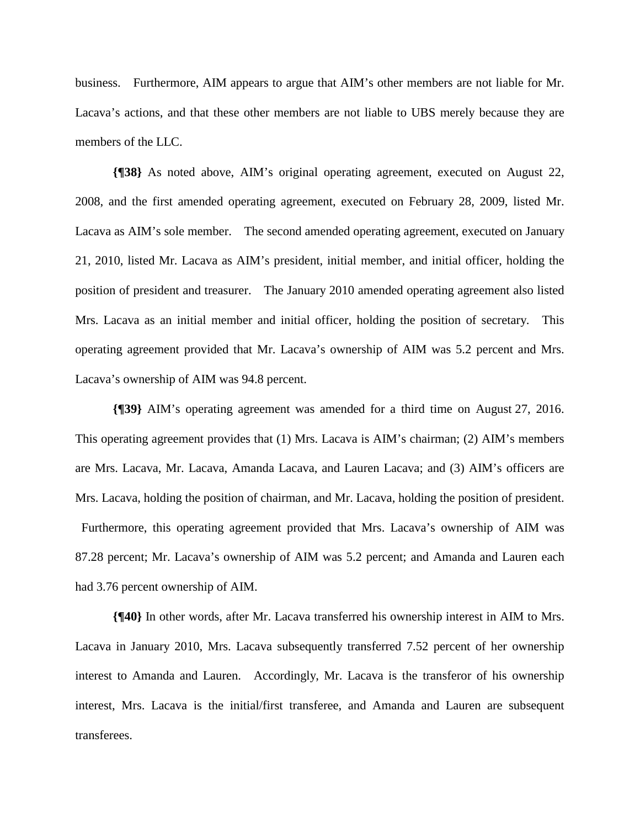business. Furthermore, AIM appears to argue that AIM's other members are not liable for Mr. Lacava's actions, and that these other members are not liable to UBS merely because they are members of the LLC.

**{¶38}** As noted above, AIM's original operating agreement, executed on August 22, 2008, and the first amended operating agreement, executed on February 28, 2009, listed Mr. Lacava as AIM's sole member. The second amended operating agreement, executed on January 21, 2010, listed Mr. Lacava as AIM's president, initial member, and initial officer, holding the position of president and treasurer. The January 2010 amended operating agreement also listed Mrs. Lacava as an initial member and initial officer, holding the position of secretary. This operating agreement provided that Mr. Lacava's ownership of AIM was 5.2 percent and Mrs. Lacava's ownership of AIM was 94.8 percent.

**{¶39}** AIM's operating agreement was amended for a third time on August 27, 2016. This operating agreement provides that (1) Mrs. Lacava is AIM's chairman; (2) AIM's members are Mrs. Lacava, Mr. Lacava, Amanda Lacava, and Lauren Lacava; and (3) AIM's officers are Mrs. Lacava, holding the position of chairman, and Mr. Lacava, holding the position of president. Furthermore, this operating agreement provided that Mrs. Lacava's ownership of AIM was 87.28 percent; Mr. Lacava's ownership of AIM was 5.2 percent; and Amanda and Lauren each had 3.76 percent ownership of AIM.

**{¶40}** In other words, after Mr. Lacava transferred his ownership interest in AIM to Mrs. Lacava in January 2010, Mrs. Lacava subsequently transferred 7.52 percent of her ownership interest to Amanda and Lauren. Accordingly, Mr. Lacava is the transferor of his ownership interest, Mrs. Lacava is the initial/first transferee, and Amanda and Lauren are subsequent transferees.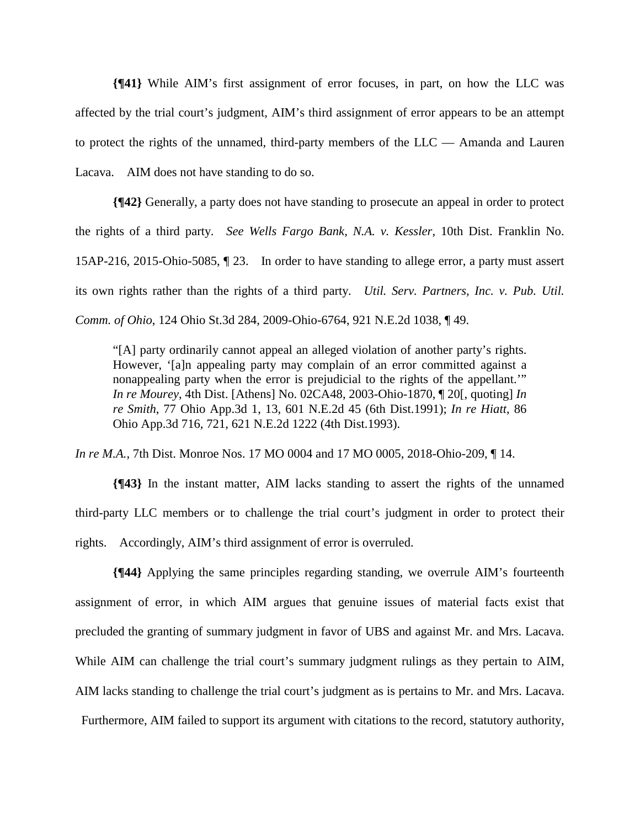**{¶41}** While AIM's first assignment of error focuses, in part, on how the LLC was affected by the trial court's judgment, AIM's third assignment of error appears to be an attempt to protect the rights of the unnamed, third-party members of the LLC — Amanda and Lauren Lacava. AIM does not have standing to do so.

**{¶42}** Generally, a party does not have standing to prosecute an appeal in order to protect the rights of a third party. *See Wells Fargo Bank, N.A. v. Kessler*, 10th Dist. Franklin No. 15AP-216, 2015-Ohio-5085, ¶ 23. In order to have standing to allege error, a party must assert its own rights rather than the rights of a third party. *Util. Serv. Partners, Inc. v. Pub. Util. Comm. of Ohio*, 124 Ohio St.3d 284, 2009-Ohio-6764, 921 N.E.2d 1038, ¶ 49.

"[A] party ordinarily cannot appeal an alleged violation of another party's rights. However, '[a]n appealing party may complain of an error committed against a nonappealing party when the error is prejudicial to the rights of the appellant.'" *In re Mourey*, 4th Dist. [Athens] No. 02CA48, 2003-Ohio-1870, ¶ 20[, quoting] *In re Smith*, 77 Ohio App.3d 1, 13, 601 N.E.2d 45 (6th Dist.1991); *In re Hiatt*, 86 Ohio App.3d 716, 721, 621 N.E.2d 1222 (4th Dist.1993).

*In re M.A.*, 7th Dist. Monroe Nos. 17 MO 0004 and 17 MO 0005, 2018-Ohio-209, 14.

**{¶43}** In the instant matter, AIM lacks standing to assert the rights of the unnamed third-party LLC members or to challenge the trial court's judgment in order to protect their rights. Accordingly, AIM's third assignment of error is overruled.

**{¶44}** Applying the same principles regarding standing, we overrule AIM's fourteenth assignment of error, in which AIM argues that genuine issues of material facts exist that precluded the granting of summary judgment in favor of UBS and against Mr. and Mrs. Lacava. While AIM can challenge the trial court's summary judgment rulings as they pertain to AIM, AIM lacks standing to challenge the trial court's judgment as is pertains to Mr. and Mrs. Lacava. Furthermore, AIM failed to support its argument with citations to the record, statutory authority,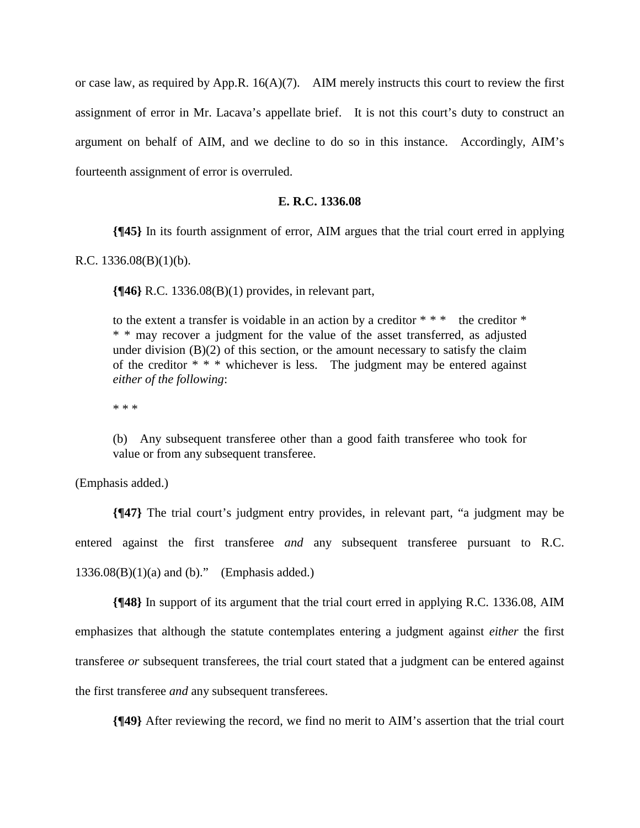or case law, as required by App.R.  $16(A)(7)$ . AIM merely instructs this court to review the first assignment of error in Mr. Lacava's appellate brief. It is not this court's duty to construct an argument on behalf of AIM, and we decline to do so in this instance. Accordingly, AIM's fourteenth assignment of error is overruled.

### **E. R.C. 1336.08**

**{¶45}** In its fourth assignment of error, AIM argues that the trial court erred in applying

R.C. 1336.08(B)(1)(b).

**{¶46}** R.C. 1336.08(B)(1) provides, in relevant part,

to the extent a transfer is voidable in an action by a creditor  $***$  the creditor  $*$ \* \* may recover a judgment for the value of the asset transferred, as adjusted under division  $(B)(2)$  of this section, or the amount necessary to satisfy the claim of the creditor  $* * *$  whichever is less. The judgment may be entered against *either of the following*:

\* \* \*

(b) Any subsequent transferee other than a good faith transferee who took for value or from any subsequent transferee.

(Emphasis added.)

**{¶47}** The trial court's judgment entry provides, in relevant part, "a judgment may be entered against the first transferee *and* any subsequent transferee pursuant to R.C.  $1336.08(B)(1)(a)$  and (b)." (Emphasis added.)

**{¶48}** In support of its argument that the trial court erred in applying R.C. 1336.08, AIM emphasizes that although the statute contemplates entering a judgment against *either* the first transferee *or* subsequent transferees, the trial court stated that a judgment can be entered against the first transferee *and* any subsequent transferees.

**{¶49}** After reviewing the record, we find no merit to AIM's assertion that the trial court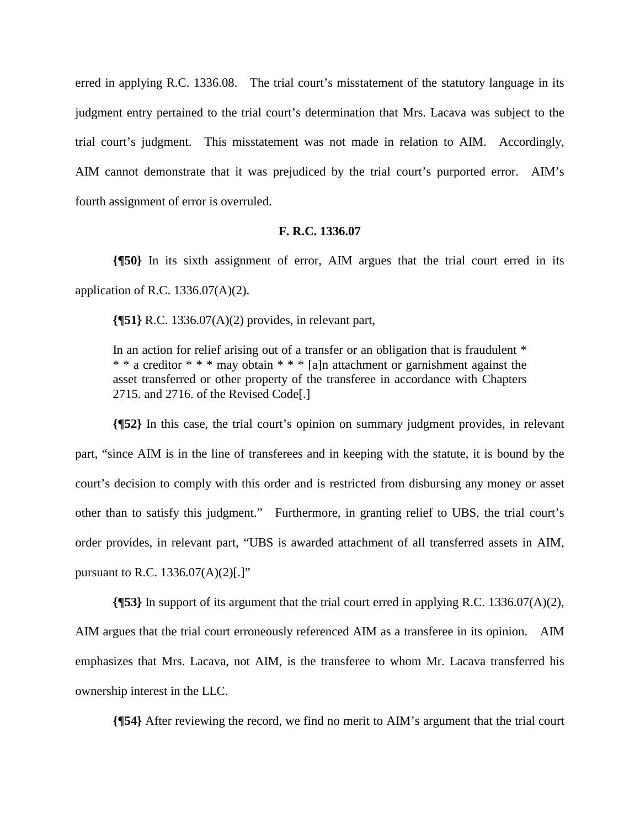erred in applying R.C. 1336.08. The trial court's misstatement of the statutory language in its judgment entry pertained to the trial court's determination that Mrs. Lacava was subject to the trial court's judgment. This misstatement was not made in relation to AIM. Accordingly, AIM cannot demonstrate that it was prejudiced by the trial court's purported error. AIM's fourth assignment of error is overruled.

## **F. R.C. 1336.07**

**{¶50}** In its sixth assignment of error, AIM argues that the trial court erred in its application of R.C. 1336.07(A)(2).

**{¶51}** R.C. 1336.07(A)(2) provides, in relevant part,

In an action for relief arising out of a transfer or an obligation that is fraudulent \* \* \* a creditor \* \* \* may obtain \* \* \* [a]n attachment or garnishment against the asset transferred or other property of the transferee in accordance with Chapters 2715. and 2716. of the Revised Code[.]

**{¶52}** In this case, the trial court's opinion on summary judgment provides, in relevant part, "since AIM is in the line of transferees and in keeping with the statute, it is bound by the court's decision to comply with this order and is restricted from disbursing any money or asset other than to satisfy this judgment." Furthermore, in granting relief to UBS, the trial court's order provides, in relevant part, "UBS is awarded attachment of all transferred assets in AIM, pursuant to R.C. 1336.07(A)(2)[.]"

**{¶53}** In support of its argument that the trial court erred in applying R.C. 1336.07(A)(2), AIM argues that the trial court erroneously referenced AIM as a transferee in its opinion. AIM emphasizes that Mrs. Lacava, not AIM, is the transferee to whom Mr. Lacava transferred his ownership interest in the LLC.

**{¶54}** After reviewing the record, we find no merit to AIM's argument that the trial court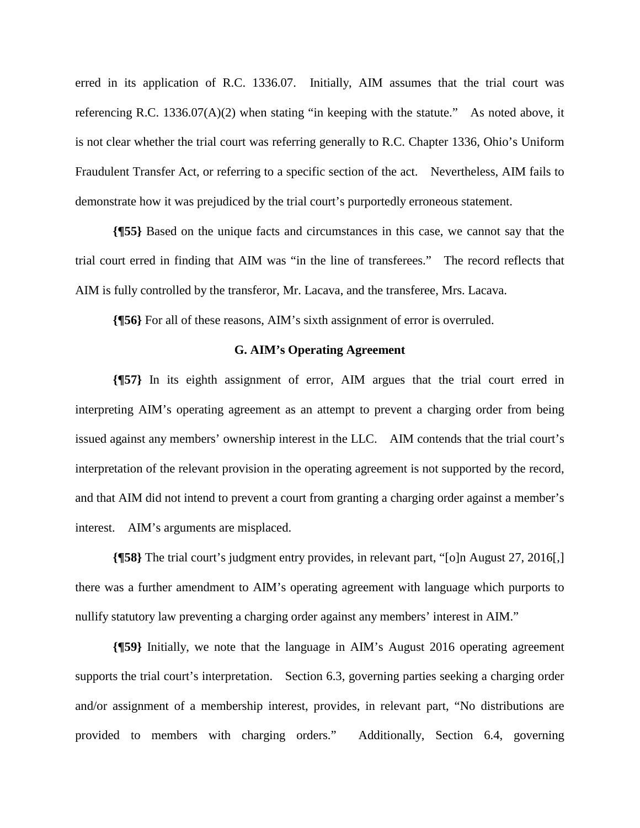erred in its application of R.C. 1336.07. Initially, AIM assumes that the trial court was referencing R.C. 1336.07(A)(2) when stating "in keeping with the statute." As noted above, it is not clear whether the trial court was referring generally to R.C. Chapter 1336, Ohio's Uniform Fraudulent Transfer Act, or referring to a specific section of the act. Nevertheless, AIM fails to demonstrate how it was prejudiced by the trial court's purportedly erroneous statement.

**{¶55}** Based on the unique facts and circumstances in this case, we cannot say that the trial court erred in finding that AIM was "in the line of transferees." The record reflects that AIM is fully controlled by the transferor, Mr. Lacava, and the transferee, Mrs. Lacava.

**{¶56}** For all of these reasons, AIM's sixth assignment of error is overruled.

### **G. AIM's Operating Agreement**

**{¶57}** In its eighth assignment of error, AIM argues that the trial court erred in interpreting AIM's operating agreement as an attempt to prevent a charging order from being issued against any members' ownership interest in the LLC. AIM contends that the trial court's interpretation of the relevant provision in the operating agreement is not supported by the record, and that AIM did not intend to prevent a court from granting a charging order against a member's interest. AIM's arguments are misplaced.

**{¶58}** The trial court's judgment entry provides, in relevant part, "[o]n August 27, 2016[,] there was a further amendment to AIM's operating agreement with language which purports to nullify statutory law preventing a charging order against any members' interest in AIM."

**{¶59}** Initially, we note that the language in AIM's August 2016 operating agreement supports the trial court's interpretation. Section 6.3, governing parties seeking a charging order and/or assignment of a membership interest, provides, in relevant part, "No distributions are provided to members with charging orders." Additionally, Section 6.4, governing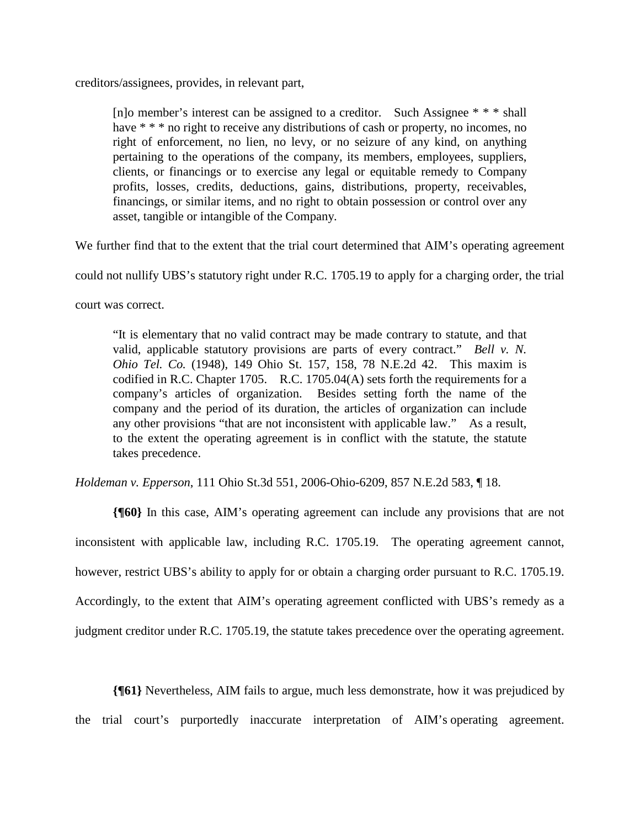creditors/assignees, provides, in relevant part,

[n]o member's interest can be assigned to a creditor. Such Assignee \* \* \* shall have  $***$  no right to receive any distributions of cash or property, no incomes, no right of enforcement, no lien, no levy, or no seizure of any kind, on anything pertaining to the operations of the company, its members, employees, suppliers, clients, or financings or to exercise any legal or equitable remedy to Company profits, losses, credits, deductions, gains, distributions, property, receivables, financings, or similar items, and no right to obtain possession or control over any asset, tangible or intangible of the Company.

We further find that to the extent that the trial court determined that AIM's operating agreement

could not nullify UBS's statutory right under R.C. 1705.19 to apply for a charging order, the trial

court was correct.

"It is elementary that no valid contract may be made contrary to statute, and that valid, applicable statutory provisions are parts of every contract." *Bell v. N. Ohio Tel. Co.* (1948), 149 Ohio St. 157, 158, 78 N.E.2d 42. This maxim is codified in R.C. Chapter 1705. R.C. 1705.04(A) sets forth the requirements for a company's articles of organization. Besides setting forth the name of the company and the period of its duration, the articles of organization can include any other provisions "that are not inconsistent with applicable law." As a result, to the extent the operating agreement is in conflict with the statute, the statute takes precedence.

*Holdeman v. Epperson*, 111 Ohio St.3d 551, 2006-Ohio-6209, 857 N.E.2d 583, ¶ 18.

**{¶60}** In this case, AIM's operating agreement can include any provisions that are not inconsistent with applicable law, including R.C. 1705.19. The operating agreement cannot, however, restrict UBS's ability to apply for or obtain a charging order pursuant to R.C. 1705.19. Accordingly, to the extent that AIM's operating agreement conflicted with UBS's remedy as a judgment creditor under R.C. 1705.19, the statute takes precedence over the operating agreement.

**{¶61}** Nevertheless, AIM fails to argue, much less demonstrate, how it was prejudiced by the trial court's purportedly inaccurate interpretation of AIM's operating agreement.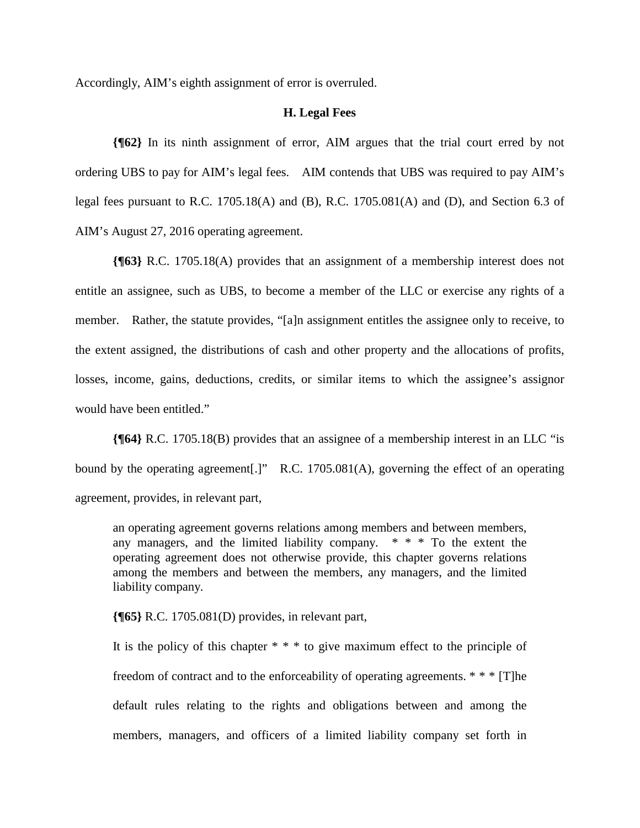Accordingly, AIM's eighth assignment of error is overruled.

#### **H. Legal Fees**

**{¶62}** In its ninth assignment of error, AIM argues that the trial court erred by not ordering UBS to pay for AIM's legal fees. AIM contends that UBS was required to pay AIM's legal fees pursuant to R.C. 1705.18(A) and (B), R.C. 1705.081(A) and (D), and Section 6.3 of AIM's August 27, 2016 operating agreement.

**{¶63}** R.C. 1705.18(A) provides that an assignment of a membership interest does not entitle an assignee, such as UBS, to become a member of the LLC or exercise any rights of a member. Rather, the statute provides, "[a]n assignment entitles the assignee only to receive, to the extent assigned, the distributions of cash and other property and the allocations of profits, losses, income, gains, deductions, credits, or similar items to which the assignee's assignor would have been entitled."

**{¶64}** R.C. 1705.18(B) provides that an assignee of a membership interest in an LLC "is bound by the operating agreement[.]" R.C. 1705.081(A), governing the effect of an operating agreement, provides, in relevant part,

an operating agreement governs relations among members and between members, any managers, and the limited liability company.  $* * * T_0$  the extent the operating agreement does not otherwise provide, this chapter governs relations among the members and between the members, any managers, and the limited liability company.

**{¶65}** R.C. 1705.081(D) provides, in relevant part,

It is the policy of this chapter  $* * *$  to give maximum effect to the principle of freedom of contract and to the enforceability of operating agreements.  $* * * [T]$ he default rules relating to the rights and obligations between and among the members, managers, and officers of a limited liability company set forth in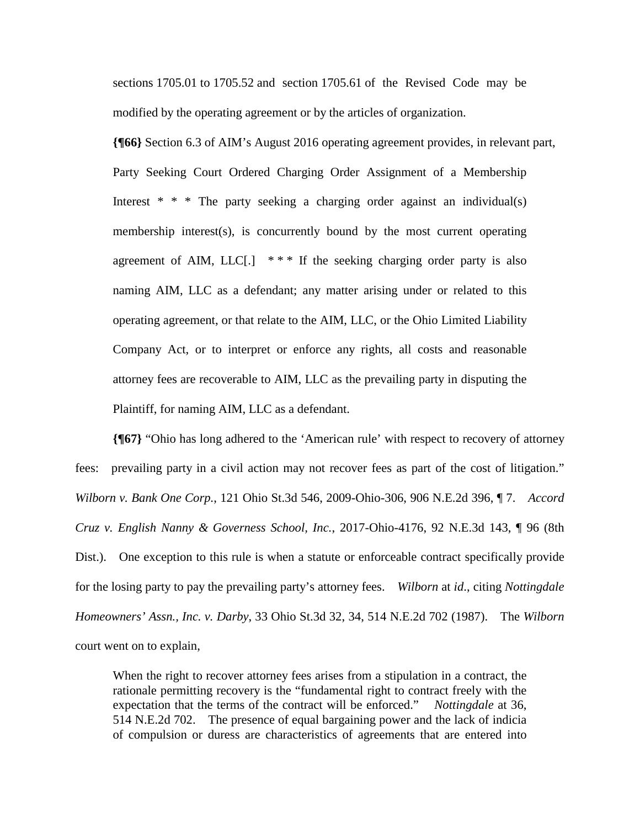sections 1705.01 to 1705.52 and section 1705.61 of the Revised Code may be modified by the operating agreement or by the articles of organization.

**{¶66}** Section 6.3 of AIM's August 2016 operating agreement provides, in relevant part, Party Seeking Court Ordered Charging Order Assignment of a Membership Interest  $* * *$  The party seeking a charging order against an individual(s) membership interest(s), is concurrently bound by the most current operating agreement of AIM, LLC[.]  $***$  If the seeking charging order party is also naming AIM, LLC as a defendant; any matter arising under or related to this operating agreement, or that relate to the AIM, LLC, or the Ohio Limited Liability Company Act, or to interpret or enforce any rights, all costs and reasonable attorney fees are recoverable to AIM, LLC as the prevailing party in disputing the Plaintiff, for naming AIM, LLC as a defendant.

**{¶67}** "Ohio has long adhered to the 'American rule' with respect to recovery of attorney fees: prevailing party in a civil action may not recover fees as part of the cost of litigation." *Wilborn v. Bank One Corp.*, 121 Ohio St.3d 546, 2009-Ohio-306, 906 N.E.2d 396, ¶ 7. *Accord Cruz v. English Nanny & Governess School, Inc.*, 2017-Ohio-4176, 92 N.E.3d 143, ¶ 96 (8th Dist.). One exception to this rule is when a statute or enforceable contract specifically provide for the losing party to pay the prevailing party's attorney fees. *Wilborn* at *id*., citing *Nottingdale Homeowners' Assn., Inc. v. Darby*, 33 Ohio St.3d 32, 34, 514 N.E.2d 702 (1987). The *Wilborn*  court went on to explain,

When the right to recover attorney fees arises from a stipulation in a contract, the rationale permitting recovery is the "fundamental right to contract freely with the expectation that the terms of the contract will be enforced." *Nottingdale* at 36, 514 N.E.2d 702. The presence of equal bargaining power and the lack of indicia of compulsion or duress are characteristics of agreements that are entered into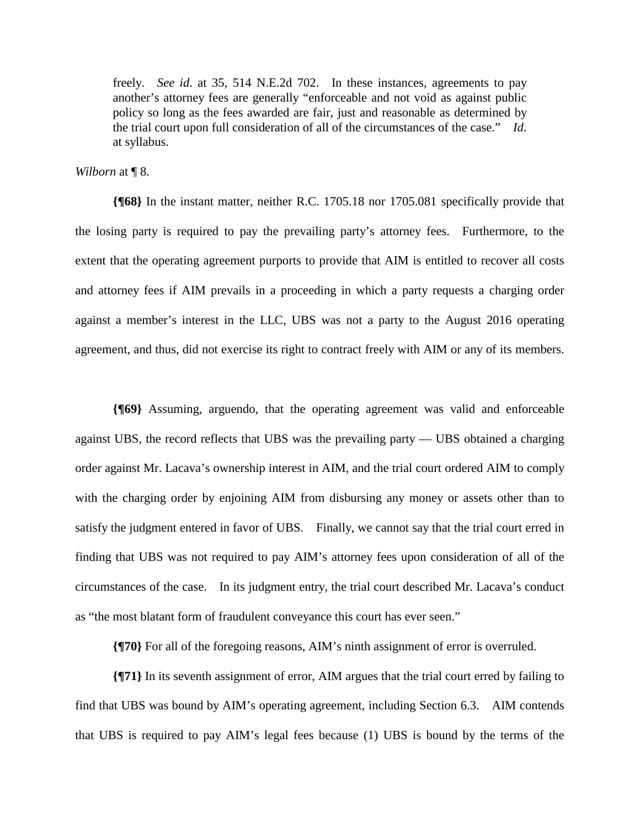freely. *See id*. at 35, 514 N.E.2d 702. In these instances, agreements to pay another's attorney fees are generally "enforceable and not void as against public policy so long as the fees awarded are fair, just and reasonable as determined by the trial court upon full consideration of all of the circumstances of the case." *Id*. at syllabus.

*Wilborn* at ¶ 8.

**{¶68}** In the instant matter, neither R.C. 1705.18 nor 1705.081 specifically provide that the losing party is required to pay the prevailing party's attorney fees. Furthermore, to the extent that the operating agreement purports to provide that AIM is entitled to recover all costs and attorney fees if AIM prevails in a proceeding in which a party requests a charging order against a member's interest in the LLC, UBS was not a party to the August 2016 operating agreement, and thus, did not exercise its right to contract freely with AIM or any of its members.

**{¶69}** Assuming, arguendo, that the operating agreement was valid and enforceable against UBS, the record reflects that UBS was the prevailing party — UBS obtained a charging order against Mr. Lacava's ownership interest in AIM, and the trial court ordered AIM to comply with the charging order by enjoining AIM from disbursing any money or assets other than to satisfy the judgment entered in favor of UBS. Finally, we cannot say that the trial court erred in finding that UBS was not required to pay AIM's attorney fees upon consideration of all of the circumstances of the case. In its judgment entry, the trial court described Mr. Lacava's conduct as "the most blatant form of fraudulent conveyance this court has ever seen."

**{¶70}** For all of the foregoing reasons, AIM's ninth assignment of error is overruled.

**{¶71}** In its seventh assignment of error, AIM argues that the trial court erred by failing to find that UBS was bound by AIM's operating agreement, including Section 6.3. AIM contends that UBS is required to pay AIM's legal fees because (1) UBS is bound by the terms of the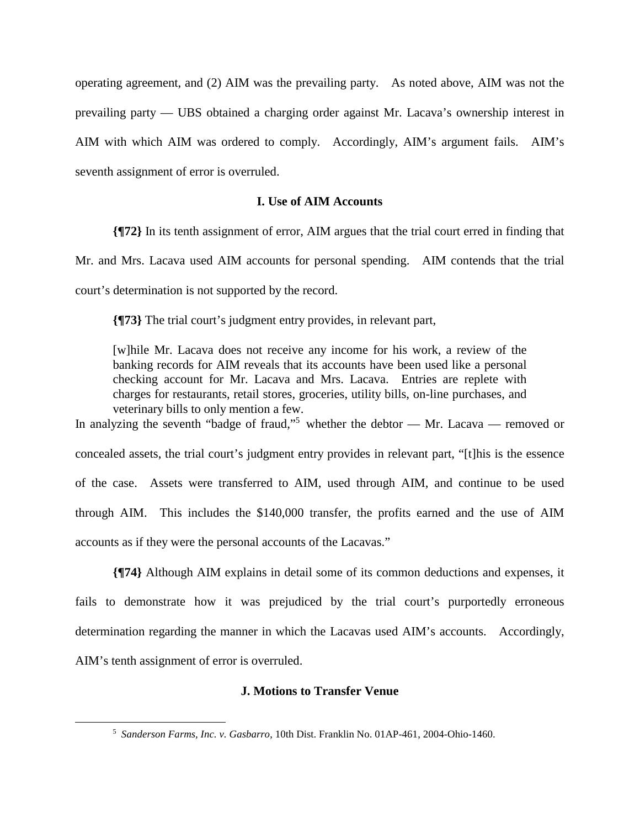operating agreement, and (2) AIM was the prevailing party. As noted above, AIM was not the prevailing party — UBS obtained a charging order against Mr. Lacava's ownership interest in AIM with which AIM was ordered to comply. Accordingly, AIM's argument fails. AIM's seventh assignment of error is overruled.

## **I. Use of AIM Accounts**

**{¶72}** In its tenth assignment of error, AIM argues that the trial court erred in finding that Mr. and Mrs. Lacava used AIM accounts for personal spending. AIM contends that the trial court's determination is not supported by the record.

**{¶73}** The trial court's judgment entry provides, in relevant part,

[w]hile Mr. Lacava does not receive any income for his work, a review of the banking records for AIM reveals that its accounts have been used like a personal checking account for Mr. Lacava and Mrs. Lacava. Entries are replete with charges for restaurants, retail stores, groceries, utility bills, on-line purchases, and veterinary bills to only mention a few.

In analyzing the seventh "badge of fraud,"<sup>5</sup> whether the debtor — Mr. Lacava — removed or concealed assets, the trial court's judgment entry provides in relevant part, "[t]his is the essence of the case. Assets were transferred to AIM, used through AIM, and continue to be used through AIM. This includes the \$140,000 transfer, the profits earned and the use of AIM accounts as if they were the personal accounts of the Lacavas."

**{¶74}** Although AIM explains in detail some of its common deductions and expenses, it fails to demonstrate how it was prejudiced by the trial court's purportedly erroneous determination regarding the manner in which the Lacavas used AIM's accounts. Accordingly, AIM's tenth assignment of error is overruled.

## **J. Motions to Transfer Venue**

1

<sup>5</sup>  *Sanderson Farms, Inc. v. Gasbarro*, 10th Dist. Franklin No. 01AP-461, 2004-Ohio-1460.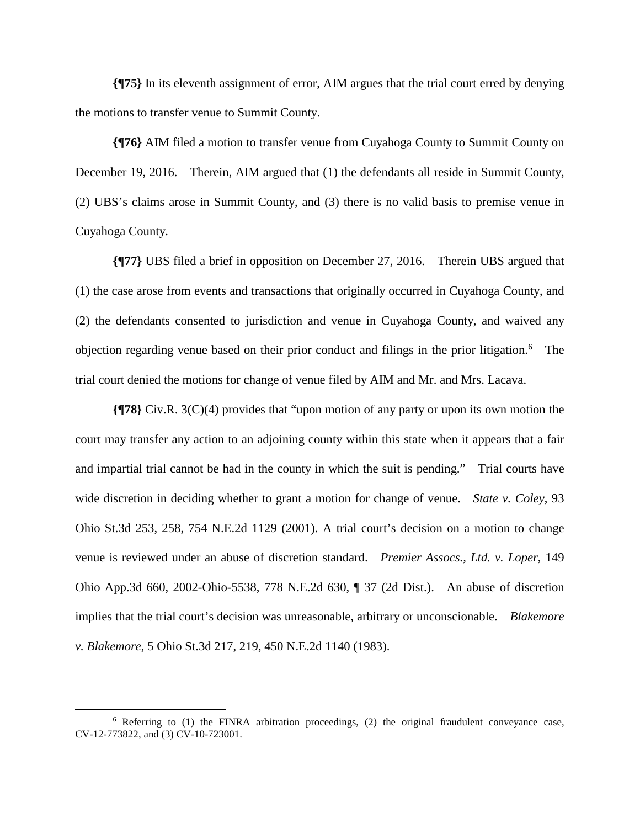**{¶75}** In its eleventh assignment of error, AIM argues that the trial court erred by denying the motions to transfer venue to Summit County.

**{¶76}** AIM filed a motion to transfer venue from Cuyahoga County to Summit County on December 19, 2016. Therein, AIM argued that (1) the defendants all reside in Summit County, (2) UBS's claims arose in Summit County, and (3) there is no valid basis to premise venue in Cuyahoga County.

**{¶77}** UBS filed a brief in opposition on December 27, 2016. Therein UBS argued that (1) the case arose from events and transactions that originally occurred in Cuyahoga County, and (2) the defendants consented to jurisdiction and venue in Cuyahoga County, and waived any objection regarding venue based on their prior conduct and filings in the prior litigation.<sup>6</sup> The trial court denied the motions for change of venue filed by AIM and Mr. and Mrs. Lacava.

**{¶78}** Civ.R. 3(C)(4) provides that "upon motion of any party or upon its own motion the court may transfer any action to an adjoining county within this state when it appears that a fair and impartial trial cannot be had in the county in which the suit is pending." Trial courts have wide discretion in deciding whether to grant a motion for change of venue. *State v. Coley*, 93 Ohio St.3d 253, 258, 754 N.E.2d 1129 (2001). A trial court's decision on a motion to change venue is reviewed under an abuse of discretion standard. *Premier Assocs., Ltd. v. Loper*, 149 Ohio App.3d 660, 2002-Ohio-5538, 778 N.E.2d 630, ¶ 37 (2d Dist.). An abuse of discretion implies that the trial court's decision was unreasonable, arbitrary or unconscionable. *Blakemore v. Blakemore*, 5 Ohio St.3d 217, 219, 450 N.E.2d 1140 (1983).

 $\overline{a}$ 

<sup>6</sup> Referring to (1) the FINRA arbitration proceedings, (2) the original fraudulent conveyance case, CV-12-773822, and (3) CV-10-723001.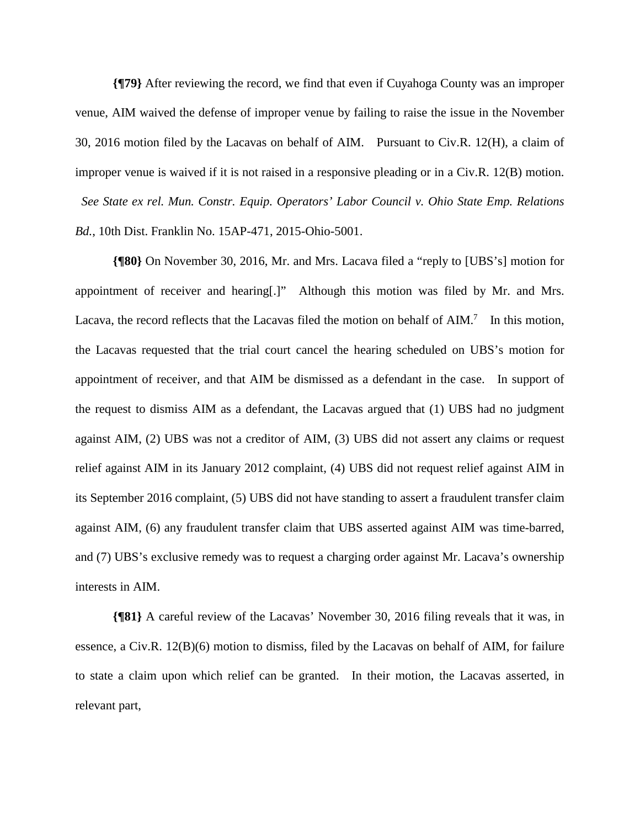**{¶79}** After reviewing the record, we find that even if Cuyahoga County was an improper venue, AIM waived the defense of improper venue by failing to raise the issue in the November 30, 2016 motion filed by the Lacavas on behalf of AIM. Pursuant to Civ.R. 12(H), a claim of improper venue is waived if it is not raised in a responsive pleading or in a Civ.R. 12(B) motion. *See State ex rel. Mun. Constr. Equip. Operators' Labor Council v. Ohio State Emp. Relations Bd.*, 10th Dist. Franklin No. 15AP-471, 2015-Ohio-5001.

**{¶80}** On November 30, 2016, Mr. and Mrs. Lacava filed a "reply to [UBS's] motion for appointment of receiver and hearing[.]" Although this motion was filed by Mr. and Mrs. Lacava, the record reflects that the Lacavas filed the motion on behalf of  $AIM.<sup>7</sup>$  In this motion, the Lacavas requested that the trial court cancel the hearing scheduled on UBS's motion for appointment of receiver, and that AIM be dismissed as a defendant in the case. In support of the request to dismiss AIM as a defendant, the Lacavas argued that (1) UBS had no judgment against AIM, (2) UBS was not a creditor of AIM, (3) UBS did not assert any claims or request relief against AIM in its January 2012 complaint, (4) UBS did not request relief against AIM in its September 2016 complaint, (5) UBS did not have standing to assert a fraudulent transfer claim against AIM, (6) any fraudulent transfer claim that UBS asserted against AIM was time-barred, and (7) UBS's exclusive remedy was to request a charging order against Mr. Lacava's ownership interests in AIM.

**{¶81}** A careful review of the Lacavas' November 30, 2016 filing reveals that it was, in essence, a Civ.R. 12(B)(6) motion to dismiss, filed by the Lacavas on behalf of AIM, for failure to state a claim upon which relief can be granted. In their motion, the Lacavas asserted, in relevant part,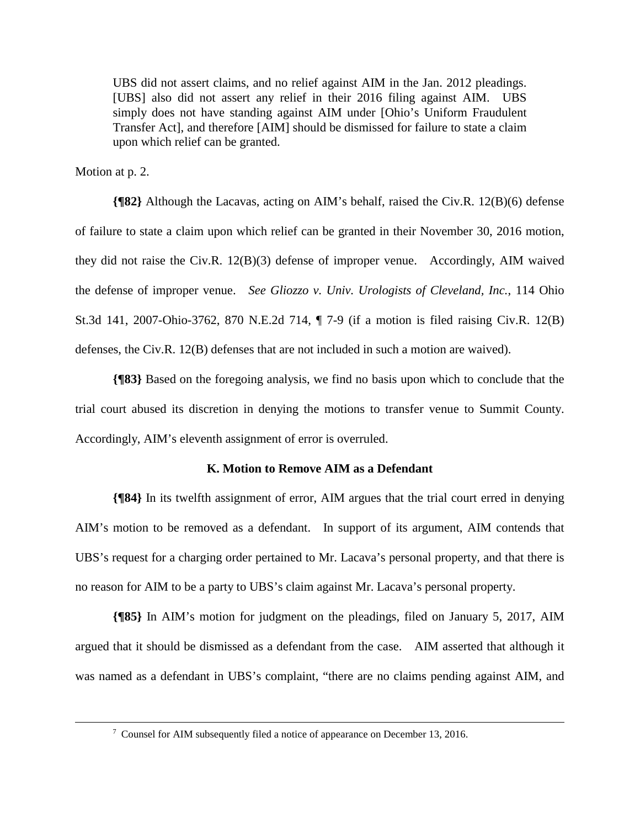UBS did not assert claims, and no relief against AIM in the Jan. 2012 pleadings. [UBS] also did not assert any relief in their 2016 filing against AIM. UBS simply does not have standing against AIM under [Ohio's Uniform Fraudulent Transfer Act], and therefore [AIM] should be dismissed for failure to state a claim upon which relief can be granted.

Motion at p. 2.

 $\overline{a}$ 

**{¶82}** Although the Lacavas, acting on AIM's behalf, raised the Civ.R. 12(B)(6) defense of failure to state a claim upon which relief can be granted in their November 30, 2016 motion, they did not raise the Civ.R. 12(B)(3) defense of improper venue. Accordingly, AIM waived the defense of improper venue. *See Gliozzo v. Univ. Urologists of Cleveland, Inc.*, 114 Ohio St.3d 141, 2007-Ohio-3762, 870 N.E.2d 714, ¶ 7-9 (if a motion is filed raising Civ.R. 12(B) defenses, the Civ.R. 12(B) defenses that are not included in such a motion are waived).

**{¶83}** Based on the foregoing analysis, we find no basis upon which to conclude that the trial court abused its discretion in denying the motions to transfer venue to Summit County. Accordingly, AIM's eleventh assignment of error is overruled.

# **K. Motion to Remove AIM as a Defendant**

**{¶84}** In its twelfth assignment of error, AIM argues that the trial court erred in denying AIM's motion to be removed as a defendant. In support of its argument, AIM contends that UBS's request for a charging order pertained to Mr. Lacava's personal property, and that there is no reason for AIM to be a party to UBS's claim against Mr. Lacava's personal property.

**{¶85}** In AIM's motion for judgment on the pleadings, filed on January 5, 2017, AIM argued that it should be dismissed as a defendant from the case. AIM asserted that although it was named as a defendant in UBS's complaint, "there are no claims pending against AIM, and

<sup>&</sup>lt;sup>7</sup> Counsel for AIM subsequently filed a notice of appearance on December 13, 2016.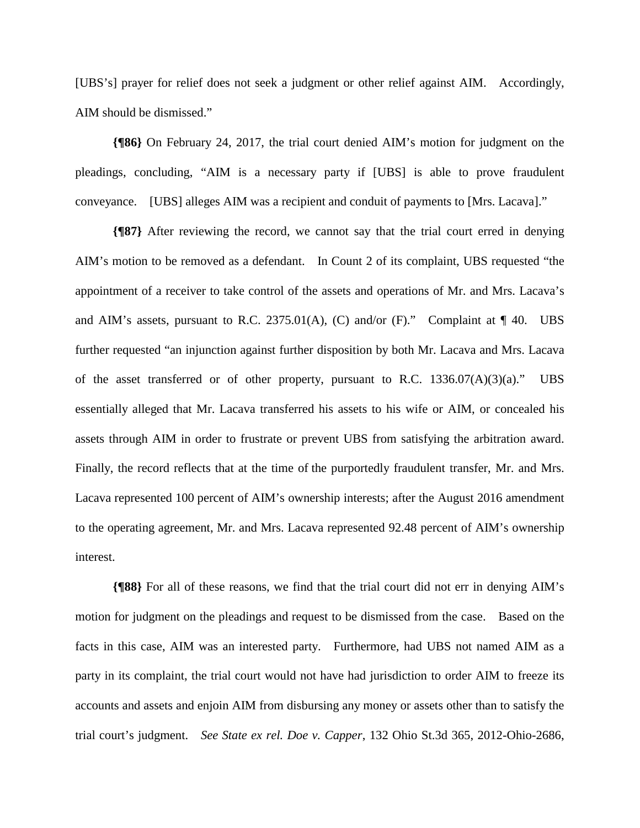[UBS's] prayer for relief does not seek a judgment or other relief against AIM. Accordingly, AIM should be dismissed."

**{¶86}** On February 24, 2017, the trial court denied AIM's motion for judgment on the pleadings, concluding, "AIM is a necessary party if [UBS] is able to prove fraudulent conveyance. [UBS] alleges AIM was a recipient and conduit of payments to [Mrs. Lacava]."

**{¶87}** After reviewing the record, we cannot say that the trial court erred in denying AIM's motion to be removed as a defendant. In Count 2 of its complaint, UBS requested "the appointment of a receiver to take control of the assets and operations of Mr. and Mrs. Lacava's and AIM's assets, pursuant to R.C. 2375.01(A), (C) and/or (F)." Complaint at  $\P$  40. UBS further requested "an injunction against further disposition by both Mr. Lacava and Mrs. Lacava of the asset transferred or of other property, pursuant to R.C.  $1336.07(A)(3)(a)$ ." UBS essentially alleged that Mr. Lacava transferred his assets to his wife or AIM, or concealed his assets through AIM in order to frustrate or prevent UBS from satisfying the arbitration award. Finally, the record reflects that at the time of the purportedly fraudulent transfer, Mr. and Mrs. Lacava represented 100 percent of AIM's ownership interests; after the August 2016 amendment to the operating agreement, Mr. and Mrs. Lacava represented 92.48 percent of AIM's ownership interest.

**{¶88}** For all of these reasons, we find that the trial court did not err in denying AIM's motion for judgment on the pleadings and request to be dismissed from the case. Based on the facts in this case, AIM was an interested party. Furthermore, had UBS not named AIM as a party in its complaint, the trial court would not have had jurisdiction to order AIM to freeze its accounts and assets and enjoin AIM from disbursing any money or assets other than to satisfy the trial court's judgment. *See State ex rel. Doe v. Capper*, 132 Ohio St.3d 365, 2012-Ohio-2686,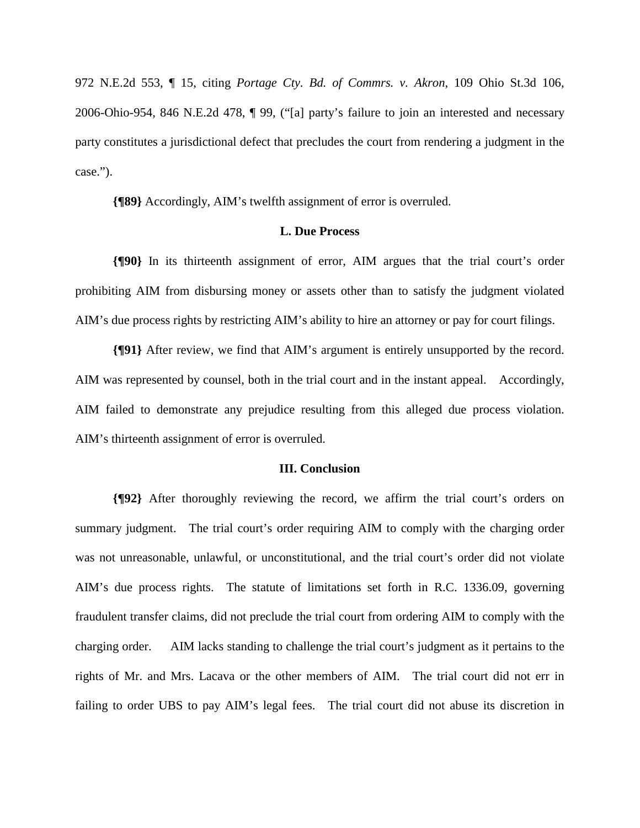972 N.E.2d 553, ¶ 15, citing *Portage Cty. Bd. of Commrs. v. Akron*, 109 Ohio St.3d 106, 2006-Ohio-954, 846 N.E.2d 478, ¶ 99, ("[a] party's failure to join an interested and necessary party constitutes a jurisdictional defect that precludes the court from rendering a judgment in the case.").

**{¶89}** Accordingly, AIM's twelfth assignment of error is overruled.

## **L. Due Process**

**{¶90}** In its thirteenth assignment of error, AIM argues that the trial court's order prohibiting AIM from disbursing money or assets other than to satisfy the judgment violated AIM's due process rights by restricting AIM's ability to hire an attorney or pay for court filings.

**{¶91}** After review, we find that AIM's argument is entirely unsupported by the record. AIM was represented by counsel, both in the trial court and in the instant appeal. Accordingly, AIM failed to demonstrate any prejudice resulting from this alleged due process violation. AIM's thirteenth assignment of error is overruled.

#### **III. Conclusion**

**{¶92}** After thoroughly reviewing the record, we affirm the trial court's orders on summary judgment. The trial court's order requiring AIM to comply with the charging order was not unreasonable, unlawful, or unconstitutional, and the trial court's order did not violate AIM's due process rights. The statute of limitations set forth in R.C. 1336.09, governing fraudulent transfer claims, did not preclude the trial court from ordering AIM to comply with the charging order. AIM lacks standing to challenge the trial court's judgment as it pertains to the rights of Mr. and Mrs. Lacava or the other members of AIM. The trial court did not err in failing to order UBS to pay AIM's legal fees. The trial court did not abuse its discretion in